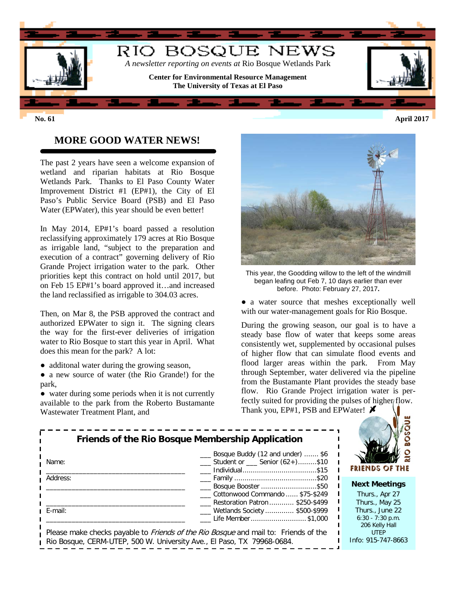

## **MORE GOOD WATER NEWS!**

The past 2 years have seen a welcome expansion of wetland and riparian habitats at Rio Bosque Wetlands Park. Thanks to El Paso County Water Improvement District #1 (EP#1), the City of El Paso's Public Service Board (PSB) and El Paso Water (EPWater), this year should be even better!

In May 2014, EP#1's board passed a resolution reclassifying approximately 179 acres at Rio Bosque as irrigable land, "subject to the preparation and execution of a contract" governing delivery of Rio Grande Project irrigation water to the park. Other priorities kept this contract on hold until 2017, but on Feb 15 EP#1's board approved it…and increased the land reclassified as irrigable to 304.03 acres.

Then, on Mar 8, the PSB approved the contract and authorized EPWater to sign it. The signing clears the way for the first-ever deliveries of irrigation water to Rio Bosque to start this year in April. What does this mean for the park? A lot:

- additonal water during the growing season,
- a new source of water (the Rio Grande!) for the park,
- water during some periods when it is not currently available to the park from the Roberto Bustamante Wastewater Treatment Plant, and



This year, the Goodding willow to the left of the windmill began leafing out Feb 7, 10 days earlier than ever before. Photo: February 27, 2017**.**

• a water source that meshes exceptionally well with our water-management goals for Rio Bosque.

During the growing season, our goal is to have a steady base flow of water that keeps some areas consistently wet, supplemented by occasional pulses of higher flow that can simulate flood events and flood larger areas within the park. From May through September, water delivered via the pipeline from the Bustamante Plant provides the steady base flow. Rio Grande Project irrigation water is perfectly suited for providing the pulses of higher flow. Thank you, EP#1, PSB and EPWater!  $\cancel{\blacktriangleright}$ 

|                                                                                            | Bosque Buddy (12 and under)  \$6                        |     |
|--------------------------------------------------------------------------------------------|---------------------------------------------------------|-----|
| Name:                                                                                      | $\frac{1}{2}$ Student or $\frac{1}{2}$ Senior (62+)\$10 |     |
|                                                                                            |                                                         | R   |
| Address:                                                                                   |                                                         |     |
|                                                                                            | Bosque Booster \$50                                     | Ν   |
|                                                                                            | Cottonwood Commando  \$75-\$249                         |     |
|                                                                                            | Restoration Patron  \$250-\$499                         |     |
| E-mail:                                                                                    | ___ Wetlands Society  \$500-\$999                       |     |
|                                                                                            | Life Member \$1,000                                     |     |
|                                                                                            |                                                         |     |
| Please make checks payable to <i>Friends of the Rio Bosque</i> and mail to: Friends of the |                                                         |     |
| Rio Bosque, CERM-UTEP, 500 W. University Ave., El Paso, TX 79968-0684.                     |                                                         | Int |



#### **Next Meetings**

Thurs., Apr 27 Thurs., May 25 Thurs., June 22 6:30 - 7:30 p.m. 206 Kelly Hall UTEP fo: 915-747-8663